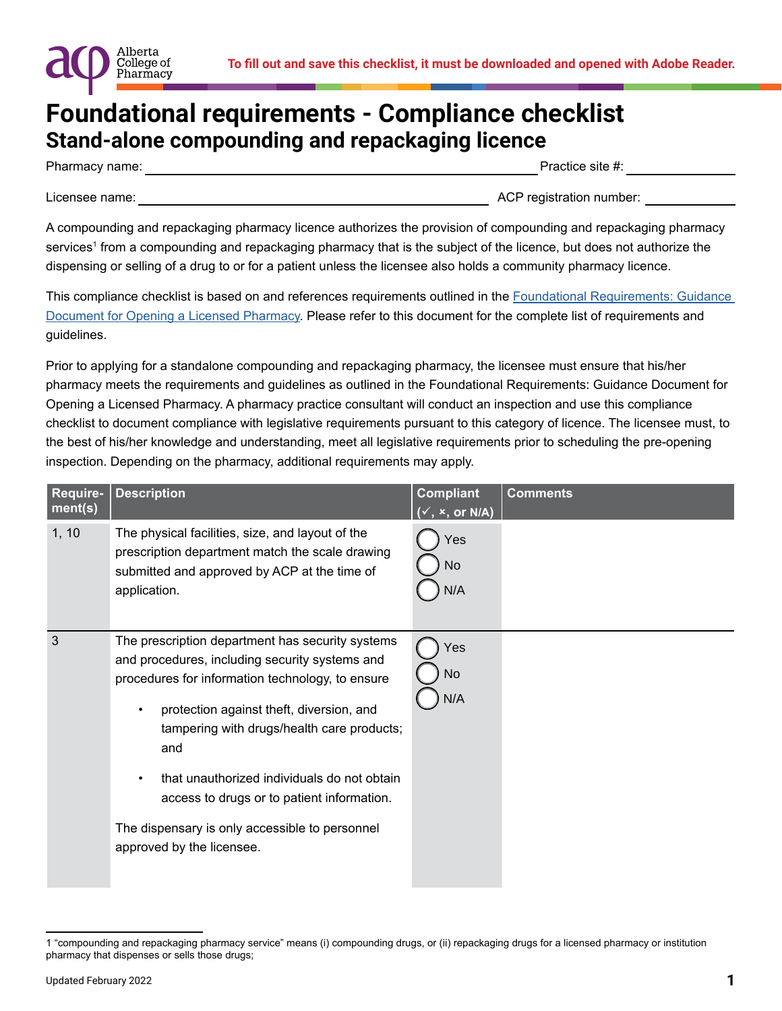

### **Foundational requirements - Compliance checklist Stand-alone compounding and repackaging licence**

Pharmacy name:  $\blacksquare$  and  $\blacksquare$  and  $\blacksquare$  are  $\blacksquare$  and  $\blacksquare$  are  $\blacksquare$  are  $\blacksquare$  are  $\blacksquare$  are  $\blacksquare$  are  $\blacksquare$  and  $\blacksquare$  are  $\blacksquare$  and  $\blacksquare$  are  $\blacksquare$  and  $\blacksquare$  are  $\blacksquare$  and  $\blacksquare$  are  $\blacksquare$  and  $\blacksquare$  ar

Alberta College of Pharmacy

Licensee name: \_\_\_\_\_\_\_\_\_\_\_\_\_\_\_\_\_\_\_\_\_\_\_\_\_\_\_\_\_\_\_\_\_\_\_\_\_\_\_\_\_\_\_\_\_\_\_\_\_\_ ACP registration number: \_\_\_\_\_\_\_\_\_\_\_\_

A compounding and repackaging pharmacy licence authorizes the provision of compounding and repackaging pharmacy services<sup>1</sup> from a compounding and repackaging pharmacy that is the subject of the licence, but does not authorize the dispensing or selling of a drug to or for a patient unless the licensee also holds a community pharmacy licence.

This compliance checklist is based on and references requirements outlined in the [Foundational Requirements: Guidance](https://abpharmacy.ca/sites/default/files/FoundationalRequirementsGuidanceDocument.pdf)  [Document for Opening a Licensed Pharmacy.](https://abpharmacy.ca/sites/default/files/FoundationalRequirementsGuidanceDocument.pdf) Please refer to this document for the complete list of requirements and guidelines.

Prior to applying for a standalone compounding and repackaging pharmacy, the licensee must ensure that his/her pharmacy meets the requirements and guidelines as outlined in the Foundational Requirements: Guidance Document for Opening a Licensed Pharmacy. A pharmacy practice consultant will conduct an inspection and use this compliance checklist to document compliance with legislative requirements pursuant to this category of licence. The licensee must, to the best of his/her knowledge and understanding, meet all legislative requirements prior to scheduling the pre-opening inspection. Depending on the pharmacy, additional requirements may apply.

| Require-<br>ment(s) | <b>Description</b>                                                                                                                                                                                                                                                                                                                                                                                                                       | <b>Compliant</b><br>$(\checkmark, x, or N/A)$ | <b>Comments</b> |
|---------------------|------------------------------------------------------------------------------------------------------------------------------------------------------------------------------------------------------------------------------------------------------------------------------------------------------------------------------------------------------------------------------------------------------------------------------------------|-----------------------------------------------|-----------------|
| 1, 10               | The physical facilities, size, and layout of the<br>prescription department match the scale drawing<br>submitted and approved by ACP at the time of<br>application.                                                                                                                                                                                                                                                                      | Yes<br>No<br>N/A                              |                 |
| 3                   | The prescription department has security systems<br>and procedures, including security systems and<br>procedures for information technology, to ensure<br>protection against theft, diversion, and<br>tampering with drugs/health care products;<br>and<br>that unauthorized individuals do not obtain<br>٠<br>access to drugs or to patient information.<br>The dispensary is only accessible to personnel<br>approved by the licensee. | Yes<br>No<br>N/A                              |                 |

<sup>1 &</sup>quot;compounding and repackaging pharmacy service" means (i) compounding drugs, or (ii) repackaging drugs for a licensed pharmacy or institution pharmacy that dispenses or sells those drugs;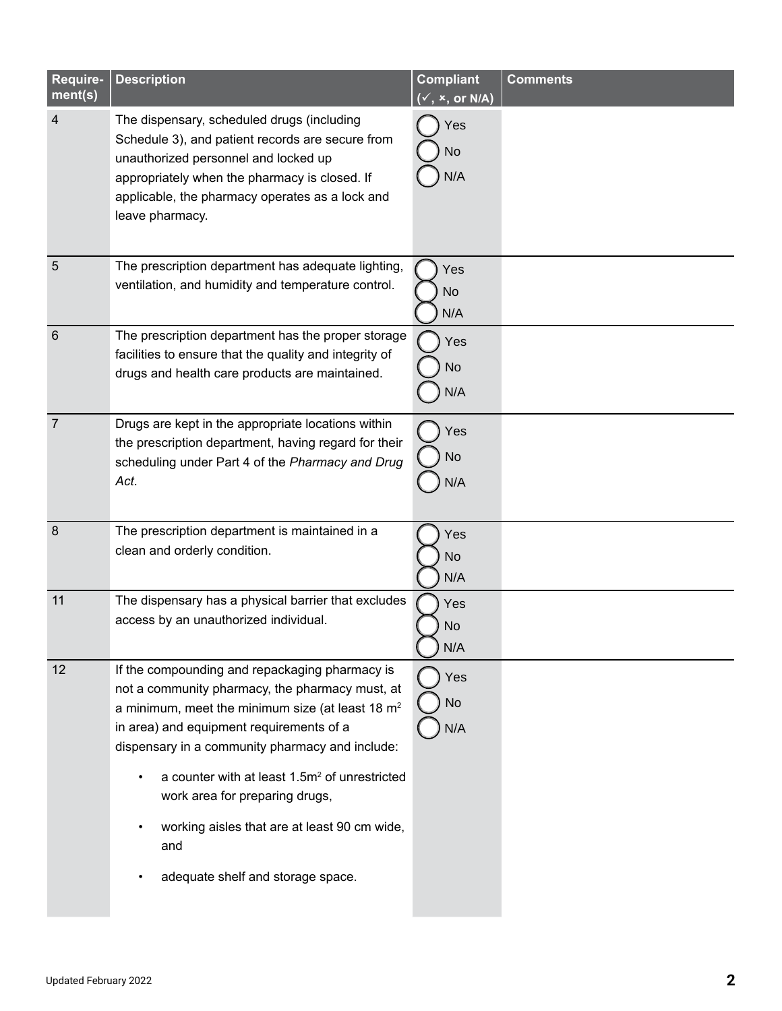| Require-<br>ment(s)     | <b>Description</b>                                                                                                                                                                                                                                                                                                                                                                                                                                | <b>Compliant</b><br>$(\checkmark, x, or N/A)$ | <b>Comments</b> |
|-------------------------|---------------------------------------------------------------------------------------------------------------------------------------------------------------------------------------------------------------------------------------------------------------------------------------------------------------------------------------------------------------------------------------------------------------------------------------------------|-----------------------------------------------|-----------------|
| $\overline{\mathbf{4}}$ | The dispensary, scheduled drugs (including<br>Schedule 3), and patient records are secure from<br>unauthorized personnel and locked up<br>appropriately when the pharmacy is closed. If<br>applicable, the pharmacy operates as a lock and<br>leave pharmacy.                                                                                                                                                                                     | Yes<br>No<br>N/A                              |                 |
| $\overline{5}$          | The prescription department has adequate lighting,<br>ventilation, and humidity and temperature control.                                                                                                                                                                                                                                                                                                                                          | Yes<br>No<br>N/A                              |                 |
| $6\phantom{1}6$         | The prescription department has the proper storage<br>facilities to ensure that the quality and integrity of<br>drugs and health care products are maintained.                                                                                                                                                                                                                                                                                    | Yes<br>No<br>N/A                              |                 |
| $\overline{7}$          | Drugs are kept in the appropriate locations within<br>the prescription department, having regard for their<br>scheduling under Part 4 of the Pharmacy and Drug<br>Act.                                                                                                                                                                                                                                                                            | Yes<br>No<br>N/A                              |                 |
| 8                       | The prescription department is maintained in a<br>clean and orderly condition.                                                                                                                                                                                                                                                                                                                                                                    | Yes<br>No<br>N/A                              |                 |
| 11                      | The dispensary has a physical barrier that excludes<br>access by an unauthorized individual.                                                                                                                                                                                                                                                                                                                                                      | Yes<br>No<br>N/A                              |                 |
| 12                      | If the compounding and repackaging pharmacy is<br>not a community pharmacy, the pharmacy must, at<br>a minimum, meet the minimum size (at least 18 $m2$<br>in area) and equipment requirements of a<br>dispensary in a community pharmacy and include:<br>a counter with at least 1.5m <sup>2</sup> of unrestricted<br>work area for preparing drugs,<br>working aisles that are at least 90 cm wide,<br>and<br>adequate shelf and storage space. | Yes<br>No<br>N/A                              |                 |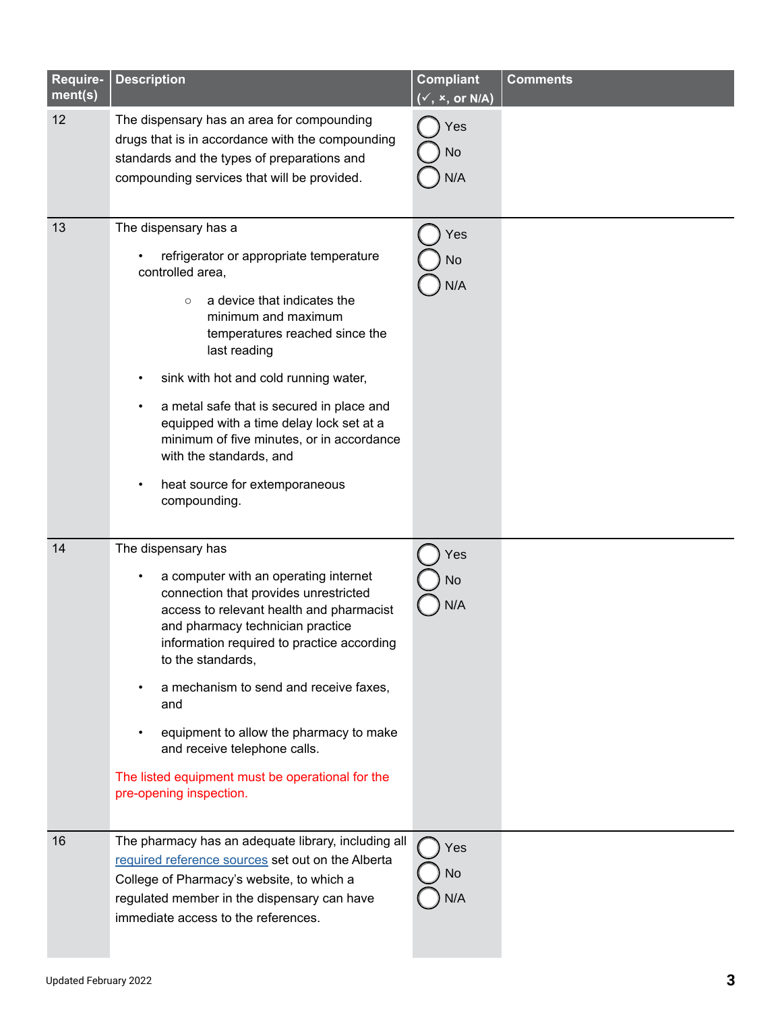| Require-<br>ment(s) | <b>Description</b>                                                                                                                                                                                                                                                                                                                                                                                                                                                 | <b>Compliant</b><br>$(\checkmark, x, or N/A)$ | <b>Comments</b> |
|---------------------|--------------------------------------------------------------------------------------------------------------------------------------------------------------------------------------------------------------------------------------------------------------------------------------------------------------------------------------------------------------------------------------------------------------------------------------------------------------------|-----------------------------------------------|-----------------|
| 12                  | The dispensary has an area for compounding<br>drugs that is in accordance with the compounding<br>standards and the types of preparations and<br>compounding services that will be provided.                                                                                                                                                                                                                                                                       | Yes<br>No<br>N/A                              |                 |
| 13                  | The dispensary has a<br>refrigerator or appropriate temperature<br>controlled area,<br>a device that indicates the<br>$\circ$<br>minimum and maximum<br>temperatures reached since the<br>last reading<br>sink with hot and cold running water,<br>a metal safe that is secured in place and<br>equipped with a time delay lock set at a<br>minimum of five minutes, or in accordance<br>with the standards, and<br>heat source for extemporaneous<br>compounding. | Yes<br>No<br>N/A                              |                 |
| 14                  | The dispensary has<br>a computer with an operating internet<br>connection that provides unrestricted<br>access to relevant health and pharmacist<br>and pharmacy technician practice<br>information required to practice according<br>to the standards,<br>a mechanism to send and receive faxes,<br>and<br>equipment to allow the pharmacy to make<br>and receive telephone calls.<br>The listed equipment must be operational for the<br>pre-opening inspection. | Yes<br>No<br>N/A                              |                 |
| 16                  | The pharmacy has an adequate library, including all<br>required reference sources set out on the Alberta<br>College of Pharmacy's website, to which a<br>regulated member in the dispensary can have<br>immediate access to the references.                                                                                                                                                                                                                        | Yes<br><b>No</b><br>N/A                       |                 |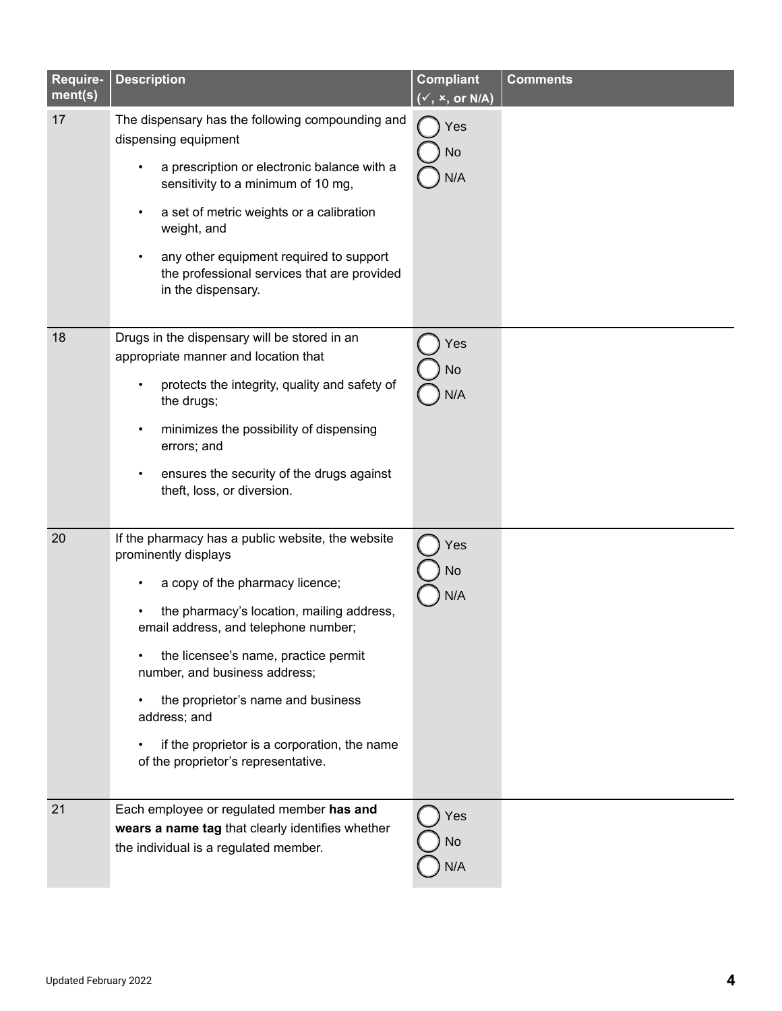| Require-<br>ment(s) | <b>Description</b>                                                                                                                                                                                                                                                                                                                                                                                                                   | <b>Compliant</b><br>$\overline{({}^{\checkmark}},\,{}^{\checkmark},\,$ or N/A) | <b>Comments</b> |
|---------------------|--------------------------------------------------------------------------------------------------------------------------------------------------------------------------------------------------------------------------------------------------------------------------------------------------------------------------------------------------------------------------------------------------------------------------------------|--------------------------------------------------------------------------------|-----------------|
| 17                  | The dispensary has the following compounding and<br>dispensing equipment<br>a prescription or electronic balance with a<br>sensitivity to a minimum of 10 mg,<br>a set of metric weights or a calibration<br>weight, and<br>any other equipment required to support<br>the professional services that are provided<br>in the dispensary.                                                                                             | Yes<br>No<br>N/A                                                               |                 |
| 18                  | Drugs in the dispensary will be stored in an<br>appropriate manner and location that<br>protects the integrity, quality and safety of<br>the drugs;<br>minimizes the possibility of dispensing<br>$\bullet$<br>errors; and<br>ensures the security of the drugs against<br>theft, loss, or diversion.                                                                                                                                | Yes<br>No<br>N/A                                                               |                 |
| 20                  | If the pharmacy has a public website, the website<br>prominently displays<br>a copy of the pharmacy licence;<br>$\bullet$<br>the pharmacy's location, mailing address,<br>email address, and telephone number;<br>the licensee's name, practice permit<br>number, and business address;<br>the proprietor's name and business<br>address; and<br>if the proprietor is a corporation, the name<br>of the proprietor's representative. | Yes<br>No<br>N/A                                                               |                 |
| 21                  | Each employee or regulated member has and<br>wears a name tag that clearly identifies whether<br>the individual is a regulated member.                                                                                                                                                                                                                                                                                               | Yes<br>No<br>N/A                                                               |                 |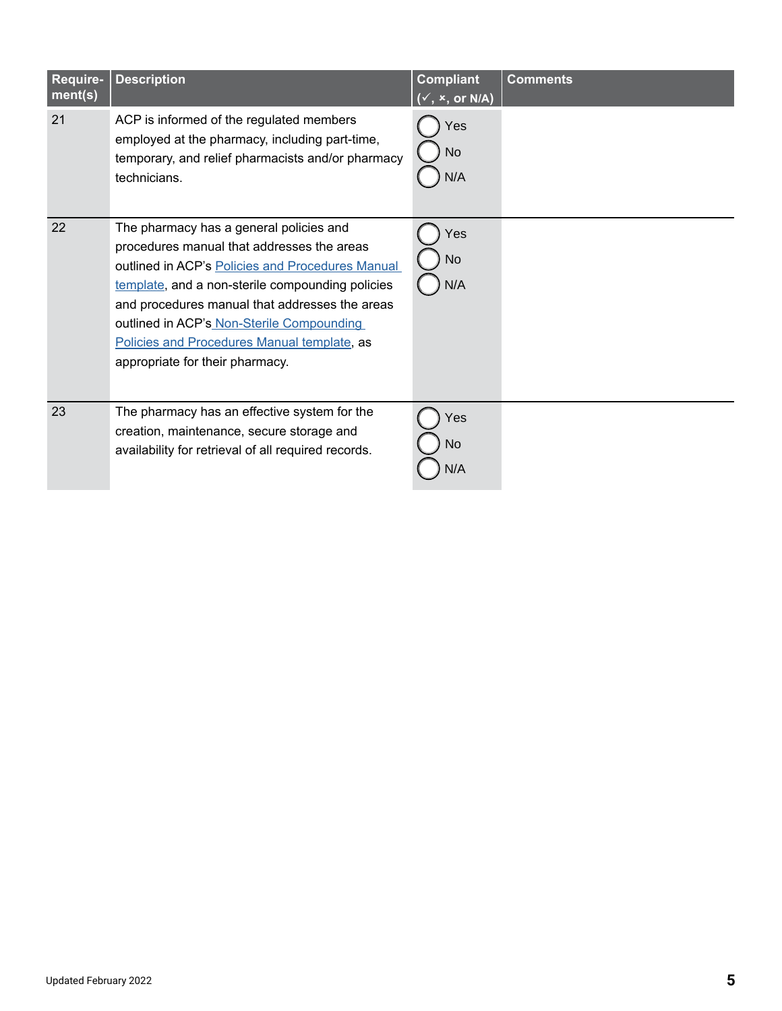| Require-<br>ment(s) | <b>Description</b>                                                                                                                                                                                                                                                                                                                                                             | <b>Compliant</b><br>$(\checkmark, x, or N/A)$ | <b>Comments</b> |
|---------------------|--------------------------------------------------------------------------------------------------------------------------------------------------------------------------------------------------------------------------------------------------------------------------------------------------------------------------------------------------------------------------------|-----------------------------------------------|-----------------|
| 21                  | ACP is informed of the regulated members<br>employed at the pharmacy, including part-time,<br>temporary, and relief pharmacists and/or pharmacy<br>technicians.                                                                                                                                                                                                                | Yes<br><b>No</b><br>N/A                       |                 |
| 22                  | The pharmacy has a general policies and<br>procedures manual that addresses the areas<br>outlined in ACP's Policies and Procedures Manual<br>template, and a non-sterile compounding policies<br>and procedures manual that addresses the areas<br>outlined in ACP's Non-Sterile Compounding<br>Policies and Procedures Manual template, as<br>appropriate for their pharmacy. | Yes<br>No<br>N/A                              |                 |
| 23                  | The pharmacy has an effective system for the<br>creation, maintenance, secure storage and<br>availability for retrieval of all required records.                                                                                                                                                                                                                               | Yes<br>No<br>N/A                              |                 |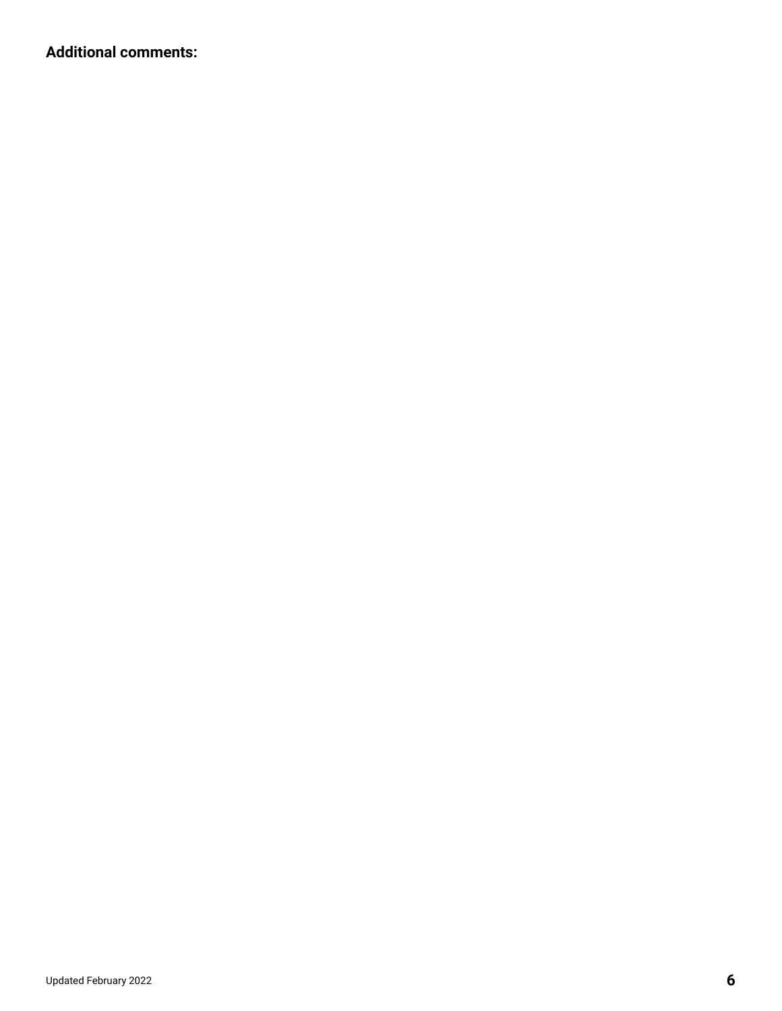**Additional comments:**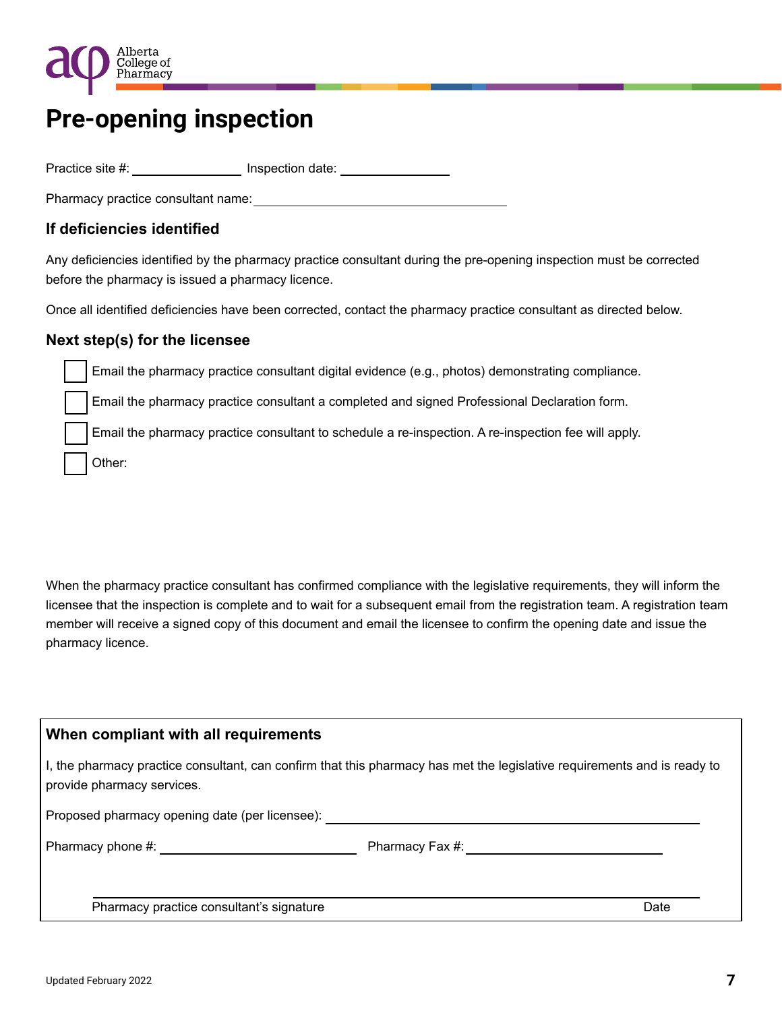

## **Pre-opening inspection**

Practice site #: \_\_\_\_\_\_\_\_\_\_\_\_\_\_\_\_\_\_ Inspection date: \_\_\_\_\_\_\_\_\_\_\_\_\_\_\_\_\_\_\_\_\_\_\_\_\_\_\_

Pharmacy practice consultant name:

#### **If deficiencies identified**

Any deficiencies identified by the pharmacy practice consultant during the pre-opening inspection must be corrected before the pharmacy is issued a pharmacy licence.

Once all identified deficiencies have been corrected, contact the pharmacy practice consultant as directed below.

#### **Next step(s) for the licensee**

Email the pharmacy practice consultant digital evidence (e.g., photos) demonstrating compliance.

Email the pharmacy practice consultant a completed and signed Professional Declaration form.

Email the pharmacy practice consultant to schedule a re-inspection. A re-inspection fee will apply.

Other:

When the pharmacy practice consultant has confirmed compliance with the legislative requirements, they will inform the licensee that the inspection is complete and to wait for a subsequent email from the registration team. A registration team member will receive a signed copy of this document and email the licensee to confirm the opening date and issue the pharmacy licence.

#### **When compliant with all requirements**

I, the pharmacy practice consultant, can confirm that this pharmacy has met the legislative requirements and is ready to provide pharmacy services.

Proposed pharmacy opening date (per licensee):

Pharmacy phone #: example and the pharmacy Fax #:

Pharmacy practice consultant's signature Date